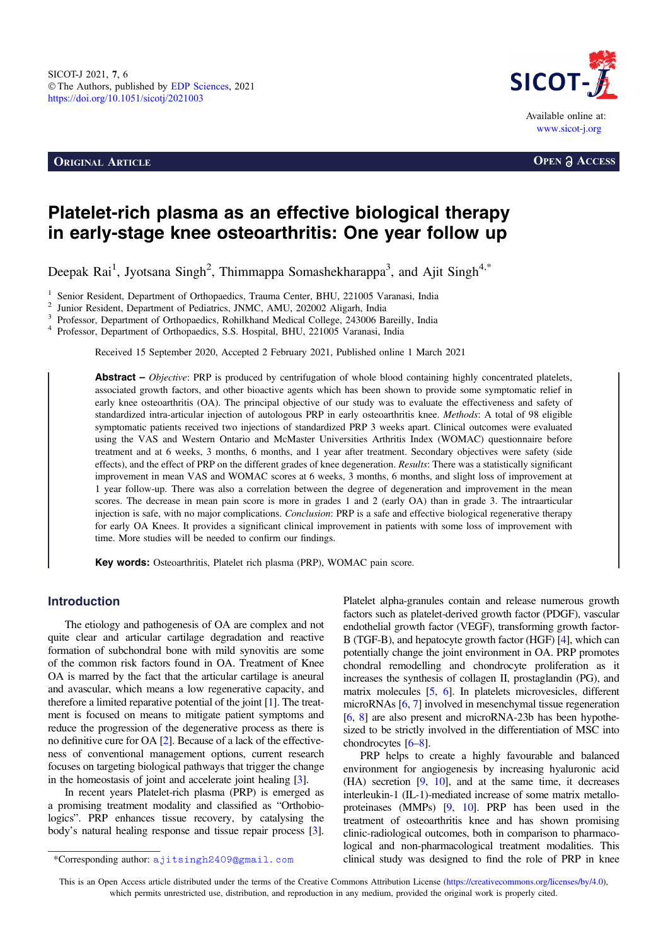**ORIGINAL ARTICLE OPEN a ACCESS** 



# Platelet-rich plasma as an effective biological therapy in early-stage knee osteoarthritis: One year follow up

Deepak Rai<sup>1</sup>, Jyotsana Singh<sup>2</sup>, Thimmappa Somashekharappa<sup>3</sup>, and Ajit Singh<sup>4,\*</sup>

 $^1$ Senior Resident, Department of Orthopaedics, Trauma Center, BHU, 221005 Varanasi, India  $^2$  Junior Resident, Department of Pediatrics, JNMC, AMU, 202002 Aligarh, India  $^3$  Professor, Department of Orthopaedics, Rohi

Received 15 September 2020, Accepted 2 February 2021, Published online 1 March 2021

**Abstract** – *Objective*: PRP is produced by centrifugation of whole blood containing highly concentrated platelets, associated growth factors, and other bioactive agents which has been shown to provide some symptomatic relief in early knee osteoarthritis (OA). The principal objective of our study was to evaluate the effectiveness and safety of standardized intra-articular injection of autologous PRP in early osteoarthritis knee. Methods: A total of 98 eligible symptomatic patients received two injections of standardized PRP 3 weeks apart. Clinical outcomes were evaluated using the VAS and Western Ontario and McMaster Universities Arthritis Index (WOMAC) questionnaire before treatment and at 6 weeks, 3 months, 6 months, and 1 year after treatment. Secondary objectives were Safety (side effects), and the effect of PRP on the different grades of knee degeneration. Results: There was a statistically significant improvement in mean VAS and WOMAC scores at 6 weeks, 3 months, 6 months, and slight loss of improvement at 1 year follow-up. There was also a correlation between the degree of degeneration and improvement in the mean scores. The decrease in mean pain score is more in grades 1 and 2 (early OA) than in grade 3. The intraarticular injection is safe, with no major complications. Conclusion: PRP is a safe and effective biological regenerative therapy for early OA Knees. It provides a significant clinical improvement in patients with some loss of improvement with time. More studies will be needed to confirm our findings.

Key words: Osteoarthritis, Platelet rich plasma (PRP), WOMAC pain score.

# Introduction

The etiology and pathogenesis of OA are complex and not quite clear and articular cartilage degradation and reactive formation of subchondral bone with mild synovitis are some of the common risk factors found in OA. Treatment of Knee OA is marred by the fact that the articular cartilage is aneural and avascular, which means a low regenerative capacity, and therefore a limited reparative potential of the joint [[1\]](#page-4-0). The treatment is focused on means to mitigate patient symptoms and reduce the progression of the degenerative process as there is no definitive cure for OA [[2\]](#page-4-0). Because of a lack of the effectiveness of conventional management options, current research focuses on targeting biological pathways that trigger the change in the homeostasis of joint and accelerate joint healing [[3\]](#page-4-0).

In recent years Platelet-rich plasma (PRP) is emerged as a promising treatment modality and classified as "Orthobiologics". PRP enhances tissue recovery, by catalysing the body's natural healing response and tissue repair process [\[3](#page-4-0)]. Platelet alpha-granules contain and release numerous growth factors such as platelet-derived growth factor (PDGF), vascular endothelial growth factor (VEGF), transforming growth factor-B (TGF-B), and hepatocyte growth factor (HGF) [[4\]](#page-4-0), which can potentially change the joint environment in OA. PRP promotes chondral remodelling and chondrocyte proliferation as it increases the synthesis of collagen II, prostaglandin (PG), and matrix molecules [\[5](#page-4-0), [6](#page-4-0)]. In platelets microvesicles, different microRNAs [[6,](#page-4-0) [7](#page-4-0)] involved in mesenchymal tissue regeneration [[6,](#page-4-0) [8\]](#page-4-0) are also present and microRNA-23b has been hypothesized to be strictly involved in the differentiation of MSC into chondrocytes [\[6](#page-4-0)–[8\]](#page-4-0).

PRP helps to create a highly favourable and balanced environment for angiogenesis by increasing hyaluronic acid (HA) secretion [[9,](#page-4-0) [10\]](#page-4-0), and at the same time, it decreases interleukin-1 (IL-1)-mediated increase of some matrix metalloproteinases (MMPs) [\[9](#page-4-0), [10\]](#page-4-0). PRP has been used in the treatment of osteoarthritis knee and has shown promising clinic-radiological outcomes, both in comparison to pharmacological and non-pharmacological treatment modalities. This \*Corresponding author: ajitsingh2409@gmail.com clinical study was designed to find the role of PRP in knee

This is an Open Access article distributed under the terms of the Creative Commons Attribution License [\(https://creativecommons.org/licenses/by/4.0](https://creativecommons.org/licenses/by/4.0/)), which permits unrestricted use, distribution, and reproduction in any medium, provided the original work is properly cited.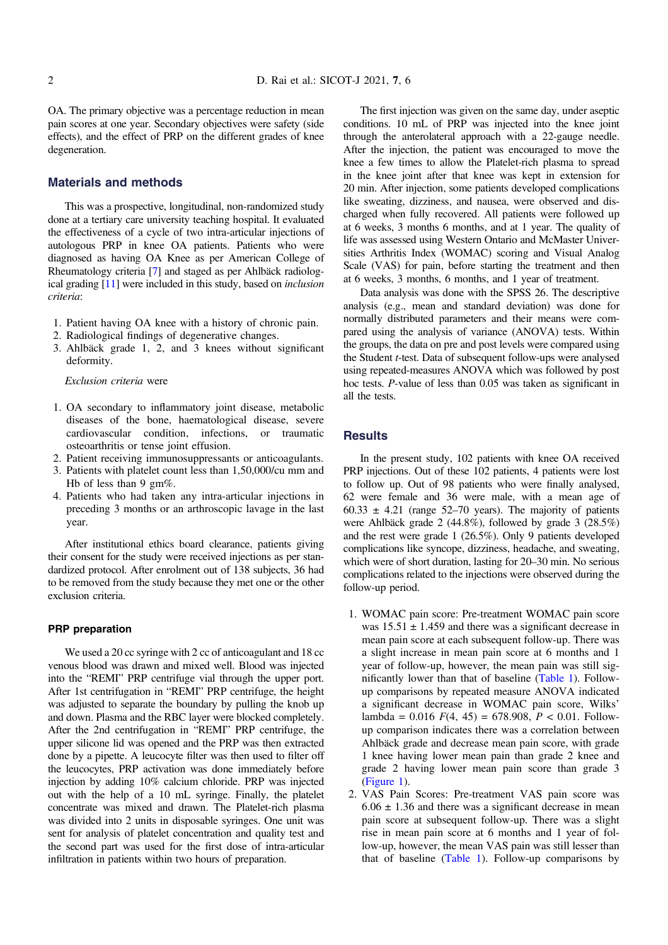OA. The primary objective was a percentage reduction in mean pain scores at one year. Secondary objectives were Safety (side effects), and the effect of PRP on the different grades of knee degeneration.

#### Materials and methods

This was a prospective, longitudinal, non-randomized study done at a tertiary care university teaching hospital. It evaluated the effectiveness of a cycle of two intra-articular injections of autologous PRP in knee OA patients. Patients who were diagnosed as having OA Knee as per American College of Rheumatology criteria [\[7\]](#page-4-0) and staged as per Ahlbäck radiological grading [\[11\]](#page-4-0) were included in this study, based on inclusion criteria:

- 1. Patient having OA knee with a history of chronic pain.
- 2. Radiological findings of degenerative changes.
- 3. Ahlbäck grade 1, 2, and 3 knees without significant deformity.

Exclusion criteria were

- 1. OA secondary to inflammatory joint disease, metabolic diseases of the bone, haematological disease, severe cardiovascular condition, infections, or traumatic osteoarthritis or tense joint effusion.
- 2. Patient receiving immunosuppressants or anticoagulants.
- 3. Patients with platelet count less than 1,50,000/cu mm and Hb of less than 9 gm%.
- 4. Patients who had taken any intra-articular injections in preceding 3 months or an arthroscopic lavage in the last year.

After institutional ethics board clearance, patients giving their consent for the study were received injections as per standardized protocol. After enrolment out of 138 subjects, 36 had to be removed from the study because they met one or the other exclusion criteria.

#### PRP preparation

We used a 20 cc syringe with 2 cc of anticoagulant and 18 cc venous blood was drawn and mixed well. Blood was injected into the "REMI" PRP centrifuge vial through the upper port. After 1st centrifugation in "REMI" PRP centrifuge, the height was adjusted to separate the boundary by pulling the knob up and down. Plasma and the RBC layer were blocked completely. After the 2nd centrifugation in "REMI" PRP centrifuge, the upper silicone lid was opened and the PRP was then extracted done by a pipette. A leucocyte filter was then used to filter off the leucocytes, PRP activation was done immediately before injection by adding 10% calcium chloride. PRP was injected out with the help of a 10 mL syringe. Finally, the platelet concentrate was mixed and drawn. The Platelet-rich plasma was divided into 2 units in disposable syringes. One unit was sent for analysis of platelet concentration and quality test and the second part was used for the first dose of intra-articular infiltration in patients within two hours of preparation.

The first injection was given on the same day, under aseptic conditions. 10 mL of PRP was injected into the knee joint through the anterolateral approach with a 22-gauge needle. After the injection, the patient was encouraged to move the knee a few times to allow the Platelet-rich plasma to spread in the knee joint after that knee was kept in extension for 20 min. After injection, some patients developed complications like sweating, dizziness, and nausea, were observed and discharged when fully recovered. All patients were followed up at 6 weeks, 3 months 6 months, and at 1 year. The quality of life was assessed using Western Ontario and McMaster Universities Arthritis Index (WOMAC) scoring and Visual Analog Scale (VAS) for pain, before starting the treatment and then at 6 weeks, 3 months, 6 months, and 1 year of treatment.

Data analysis was done with the SPSS 26. The descriptive analysis (e.g., mean and standard deviation) was done for normally distributed parameters and their means were compared using the analysis of variance (ANOVA) tests. Within the groups, the data on pre and post levels were compared using the Student t-test. Data of subsequent follow-ups were analysed using repeated-measures ANOVA which was followed by post hoc tests. P-value of less than 0.05 was taken as significant in all the tests.

## **Results**

In the present study, 102 patients with knee OA received PRP injections. Out of these 102 patients, 4 patients were lost to follow up. Out of 98 patients who were finally analysed, 62 were female and 36 were male, with a mean age of 60.33  $\pm$  4.21 (range 52–70 years). The majority of patients were Ahlbäck grade 2 (44.8%), followed by grade 3 (28.5%) and the rest were grade 1 (26.5%). Only 9 patients developed complications like syncope, dizziness, headache, and sweating, which were of short duration, lasting for 20–30 min. No serious complications related to the injections were observed during the follow-up period.

- 1. WOMAC pain score: Pre-treatment WOMAC pain score was  $15.51 \pm 1.459$  and there was a significant decrease in mean pain score at each subsequent follow-up. There was a slight increase in mean pain score at 6 months and 1 year of follow-up, however, the mean pain was still significantly lower than that of baseline [\(Table 1](#page-2-0)). Followup comparisons by repeated measure ANOVA indicated a significant decrease in WOMAC pain score, Wilks' lambda =  $0.016$   $F(4, 45) = 678.908$ ,  $P < 0.01$ . Followup comparison indicates there was a correlation between Ahlbäck grade and decrease mean pain score, with grade 1 knee having lower mean pain than grade 2 knee and grade 2 having lower mean pain score than grade 3 [\(Figure 1](#page-2-0)).
- 2. VAS Pain Scores: Pre-treatment VAS pain score was  $6.06 \pm 1.36$  and there was a significant decrease in mean pain score at subsequent follow-up. There was a slight rise in mean pain score at 6 months and 1 year of follow-up, however, the mean VAS pain was still lesser than that of baseline [\(Table 1\)](#page-2-0). Follow-up comparisons by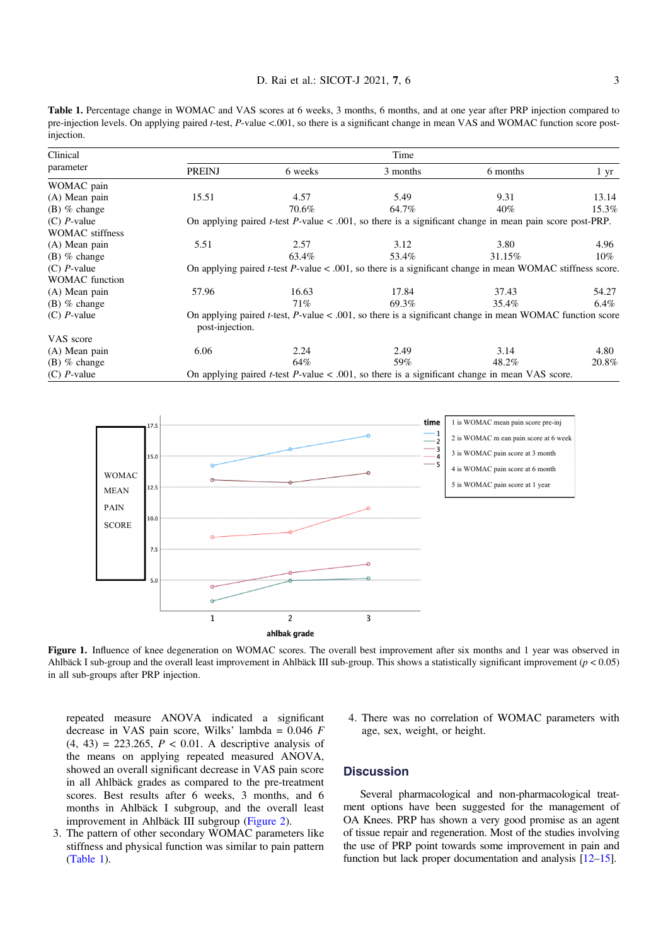<span id="page-2-0"></span>Table 1. Percentage change in WOMAC and VAS scores at 6 weeks, 3 months, 6 months, and at one year after PRP injection compared to pre-injection levels. On applying paired t-test, P-value <.001, so there is a significant change in mean VAS and WOMAC function score postinjection.

| Clinical<br>parameter  | Time                                                                                                                                   |         |          |          |           |
|------------------------|----------------------------------------------------------------------------------------------------------------------------------------|---------|----------|----------|-----------|
|                        | <b>PREINJ</b>                                                                                                                          | 6 weeks | 3 months | 6 months | $1 \, yr$ |
| WOMAC pain             |                                                                                                                                        |         |          |          |           |
| (A) Mean pain          | 15.51                                                                                                                                  | 4.57    | 5.49     | 9.31     | 13.14     |
| $(B)$ % change         |                                                                                                                                        | 70.6%   | 64.7%    | 40%      | 15.3%     |
| $(C)$ <i>P</i> -value  | On applying paired <i>t</i> -test $P$ -value < .001, so there is a significant change in mean pain score post-PRP.                     |         |          |          |           |
| <b>WOMAC</b> stiffness |                                                                                                                                        |         |          |          |           |
| (A) Mean pain          | 5.51                                                                                                                                   | 2.57    | 3.12     | 3.80     | 4.96      |
| $(B)$ % change         |                                                                                                                                        | 63.4%   | 53.4%    | 31.15%   | $10\%$    |
| $(C)$ <i>P</i> -value  | On applying paired <i>t</i> -test $P$ -value < .001, so there is a significant change in mean WOMAC stiffness score.                   |         |          |          |           |
| <b>WOMAC</b> function  |                                                                                                                                        |         |          |          |           |
| (A) Mean pain          | 57.96                                                                                                                                  | 16.63   | 17.84    | 37.43    | 54.27     |
| $(B)$ % change         |                                                                                                                                        | 71%     | 69.3%    | 35.4%    | 6.4%      |
| $(C)$ <i>P</i> -value  | On applying paired <i>t</i> -test, $P$ -value < .001, so there is a significant change in mean WOMAC function score<br>post-injection. |         |          |          |           |
| VAS score              |                                                                                                                                        |         |          |          |           |
| (A) Mean pain          | 6.06                                                                                                                                   | 2.24    | 2.49     | 3.14     | 4.80      |
| $(B)$ % change         |                                                                                                                                        | 64%     | 59%      | 48.2%    | 20.8%     |
| $(C)$ <i>P</i> -value  | On applying paired <i>t</i> -test $P$ -value < .001, so there is a significant change in mean VAS score.                               |         |          |          |           |



Figure 1. Influence of knee degeneration on WOMAC scores. The overall best improvement after six months and 1 year was observed in Ahlbäck I sub-group and the overall least improvement in Ahlbäck III sub-group. This shows a statistically significant improvement ( $p < 0.05$ ) in all sub-groups after PRP injection.

repeated measure ANOVA indicated a significant decrease in VAS pain score, Wilks' lambda =  $0.046$  F  $(4, 43) = 223.265, P < 0.01$ . A descriptive analysis of the means on applying repeated measured ANOVA, showed an overall significant decrease in VAS pain score in all Ahlbäck grades as compared to the pre-treatment scores. Best results after 6 weeks, 3 months, and 6 months in Ahlbäck I subgroup, and the overall least improvement in Ahlbäck III subgroup [\(Figure 2\)](#page-3-0).

- 3. The pattern of other secondary WOMAC parameters like stiffness and physical function was similar to pain pattern (Table 1).
- 4. There was no correlation of WOMAC parameters with age, sex, weight, or height.

#### **Discussion**

Several pharmacological and non-pharmacological treatment options have been suggested for the management of OA Knees. PRP has shown a very good promise as an agent of tissue repair and regeneration. Most of the studies involving the use of PRP point towards some improvement in pain and function but lack proper documentation and analysis [[12](#page-4-0)–[15\]](#page-4-0).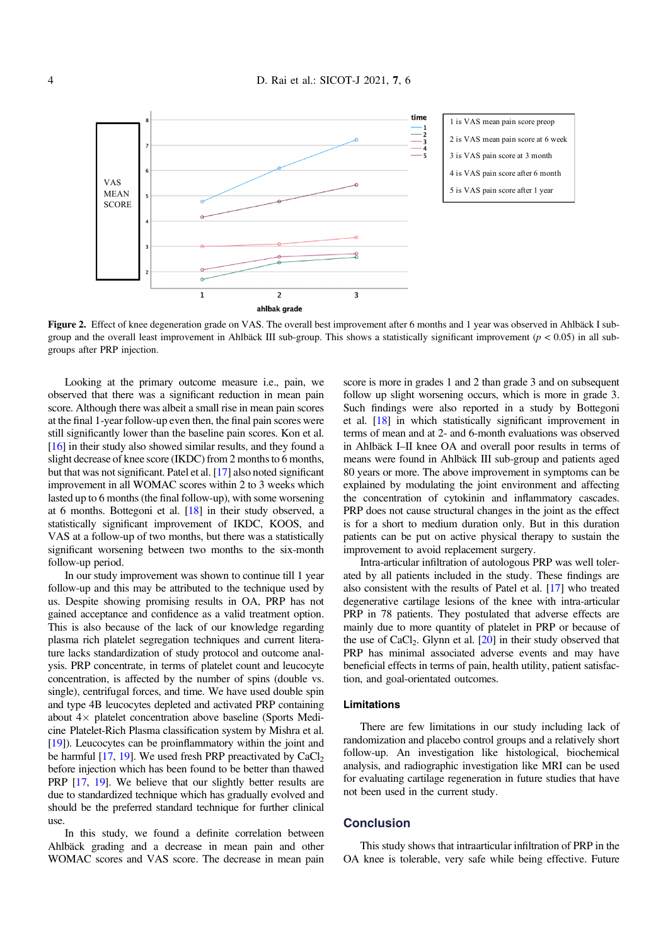<span id="page-3-0"></span>

Figure 2. Effect of knee degeneration grade on VAS. The overall best improvement after 6 months and 1 year was observed in Ahlbäck I subgroup and the overall least improvement in Ahlbäck III sub-group. This shows a statistically significant improvement  $(p < 0.05)$  in all subgroups after PRP injection.

Looking at the primary outcome measure i.e., pain, we observed that there was a significant reduction in mean pain score. Although there was albeit a small rise in mean pain scores at the final 1-year follow-up even then, the final pain scores were still significantly lower than the baseline pain scores. Kon et al. [[16](#page-4-0)] in their study also showed similar results, and they found a slight decrease of knee score (IKDC) from 2 months to 6 months, but that was not significant. Patel et al. [\[17](#page-4-0)] also noted significant improvement in all WOMAC scores within 2 to 3 weeks which lasted up to 6 months (the final follow-up), with some worsening at 6 months. Bottegoni et al. [\[18\]](#page-4-0) in their study observed, a statistically significant improvement of IKDC, KOOS, and VAS at a follow-up of two months, but there was a statistically significant worsening between two months to the six-month follow-up period.

In our study improvement was shown to continue till 1 year follow-up and this may be attributed to the technique used by us. Despite showing promising results in OA, PRP has not gained acceptance and confidence as a valid treatment option. This is also because of the lack of our knowledge regarding plasma rich platelet segregation techniques and current literature lacks standardization of study protocol and outcome analysis. PRP concentrate, in terms of platelet count and leucocyte concentration, is affected by the number of spins (double vs. single), centrifugal forces, and time. We have used double spin and type 4B leucocytes depleted and activated PRP containing about  $4 \times$  platelet concentration above baseline (Sports Medicine Platelet-Rich Plasma classification system by Mishra et al. [[19](#page-4-0)]). Leucocytes can be proinflammatory within the joint and be harmful  $[17, 19]$  $[17, 19]$  $[17, 19]$  $[17, 19]$  $[17, 19]$ . We used fresh PRP preactivated by CaCl<sub>2</sub> before injection which has been found to be better than thawed PRP [\[17,](#page-4-0) [19](#page-4-0)]. We believe that our slightly better results are due to standardized technique which has gradually evolved and should be the preferred standard technique for further clinical use.

In this study, we found a definite correlation between Ahlbäck grading and a decrease in mean pain and other WOMAC scores and VAS score. The decrease in mean pain

score is more in grades 1 and 2 than grade 3 and on subsequent follow up slight worsening occurs, which is more in grade 3. Such findings were also reported in a study by Bottegoni et al. [\[18\]](#page-4-0) in which statistically significant improvement in terms of mean and at 2- and 6-month evaluations was observed in Ahlbäck I–II knee OA and overall poor results in terms of means were found in Ahlbäck III sub-group and patients aged 80 years or more. The above improvement in symptoms can be explained by modulating the joint environment and affecting the concentration of cytokinin and inflammatory cascades. PRP does not cause structural changes in the joint as the effect is for a short to medium duration only. But in this duration patients can be put on active physical therapy to sustain the improvement to avoid replacement surgery.

Intra-articular infiltration of autologous PRP was well tolerated by all patients included in the study. These findings are also consistent with the results of Patel et al. [[17](#page-4-0)] who treated degenerative cartilage lesions of the knee with intra-articular PRP in 78 patients. They postulated that adverse effects are mainly due to more quantity of platelet in PRP or because of the use of CaCl<sub>2</sub>. Glynn et al.  $[20]$  $[20]$  in their study observed that PRP has minimal associated adverse events and may have beneficial effects in terms of pain, health utility, patient satisfaction, and goal-orientated outcomes.

#### Limitations

There are few limitations in our study including lack of randomization and placebo control groups and a relatively short follow-up. An investigation like histological, biochemical analysis, and radiographic investigation like MRI can be used for evaluating cartilage regeneration in future studies that have not been used in the current study.

## **Conclusion**

This study shows that intraarticular infiltration of PRP in the OA knee is tolerable, very safe while being effective. Future